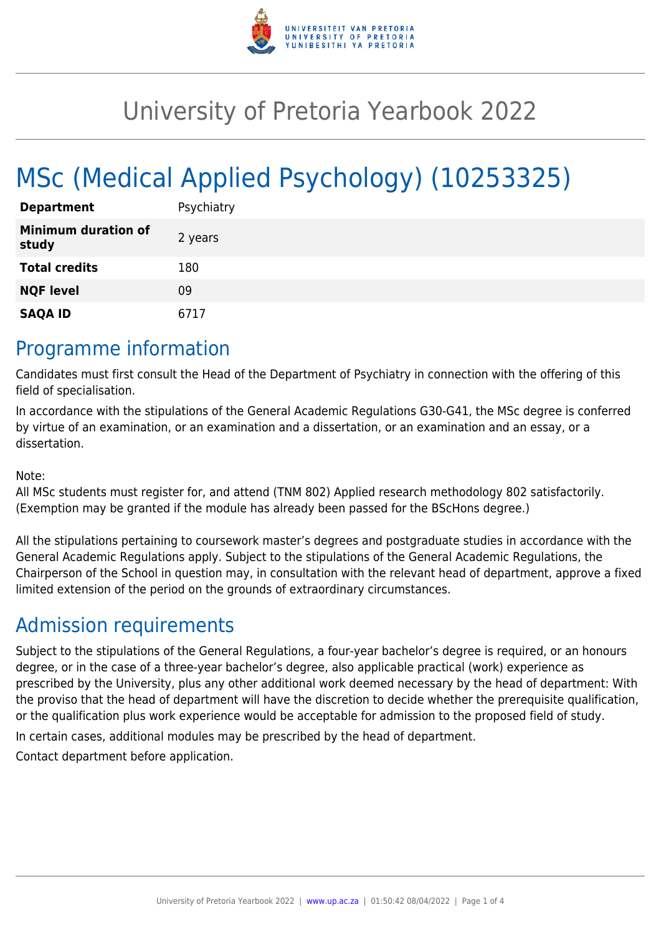

# University of Pretoria Yearbook 2022

# MSc (Medical Applied Psychology) (10253325)

| <b>Department</b>                   | Psychiatry |
|-------------------------------------|------------|
| <b>Minimum duration of</b><br>study | 2 years    |
| <b>Total credits</b>                | 180        |
| <b>NQF level</b>                    | 09         |
| <b>SAQA ID</b>                      | 6717       |

### Programme information

Candidates must first consult the Head of the Department of Psychiatry in connection with the offering of this field of specialisation.

In accordance with the stipulations of the General Academic Regulations G30-G41, the MSc degree is conferred by virtue of an examination, or an examination and a dissertation, or an examination and an essay, or a dissertation.

#### Note:

All MSc students must register for, and attend (TNM 802) Applied research methodology 802 satisfactorily. (Exemption may be granted if the module has already been passed for the BScHons degree.)

All the stipulations pertaining to coursework master's degrees and postgraduate studies in accordance with the General Academic Regulations apply. Subject to the stipulations of the General Academic Regulations, the Chairperson of the School in question may, in consultation with the relevant head of department, approve a fixed limited extension of the period on the grounds of extraordinary circumstances.

### Admission requirements

Subject to the stipulations of the General Regulations, a four-year bachelor's degree is required, or an honours degree, or in the case of a three-year bachelor's degree, also applicable practical (work) experience as prescribed by the University, plus any other additional work deemed necessary by the head of department: With the proviso that the head of department will have the discretion to decide whether the prerequisite qualification, or the qualification plus work experience would be acceptable for admission to the proposed field of study.

In certain cases, additional modules may be prescribed by the head of department.

Contact department before application.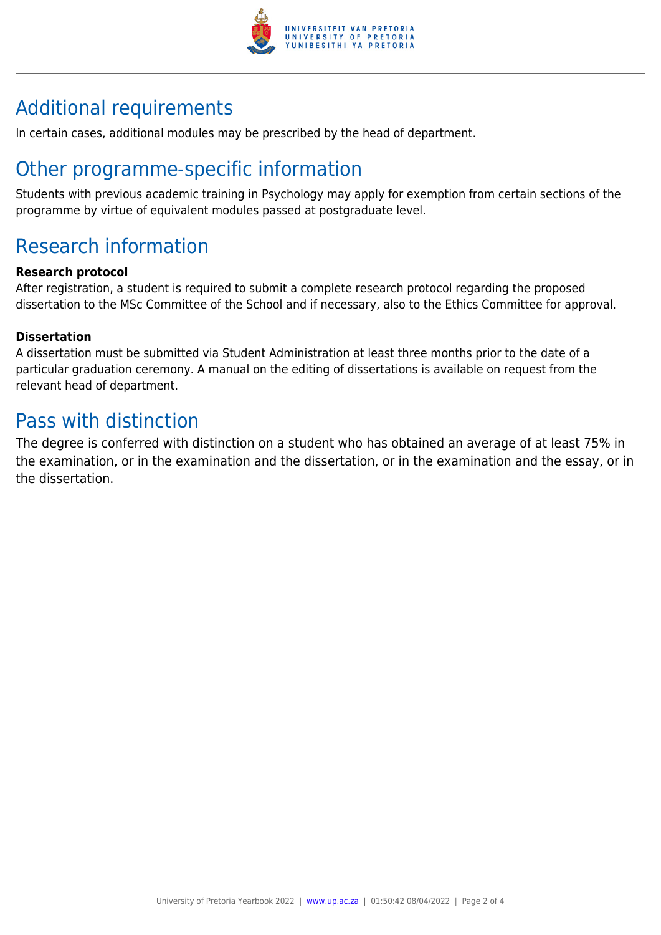

## Additional requirements

In certain cases, additional modules may be prescribed by the head of department.

## Other programme-specific information

Students with previous academic training in Psychology may apply for exemption from certain sections of the programme by virtue of equivalent modules passed at postgraduate level.

## Research information

#### **Research protocol**

After registration, a student is required to submit a complete research protocol regarding the proposed dissertation to the MSc Committee of the School and if necessary, also to the Ethics Committee for approval.

#### **Dissertation**

A dissertation must be submitted via Student Administration at least three months prior to the date of a particular graduation ceremony. A manual on the editing of dissertations is available on request from the relevant head of department.

### Pass with distinction

The degree is conferred with distinction on a student who has obtained an average of at least 75% in the examination, or in the examination and the dissertation, or in the examination and the essay, or in the dissertation.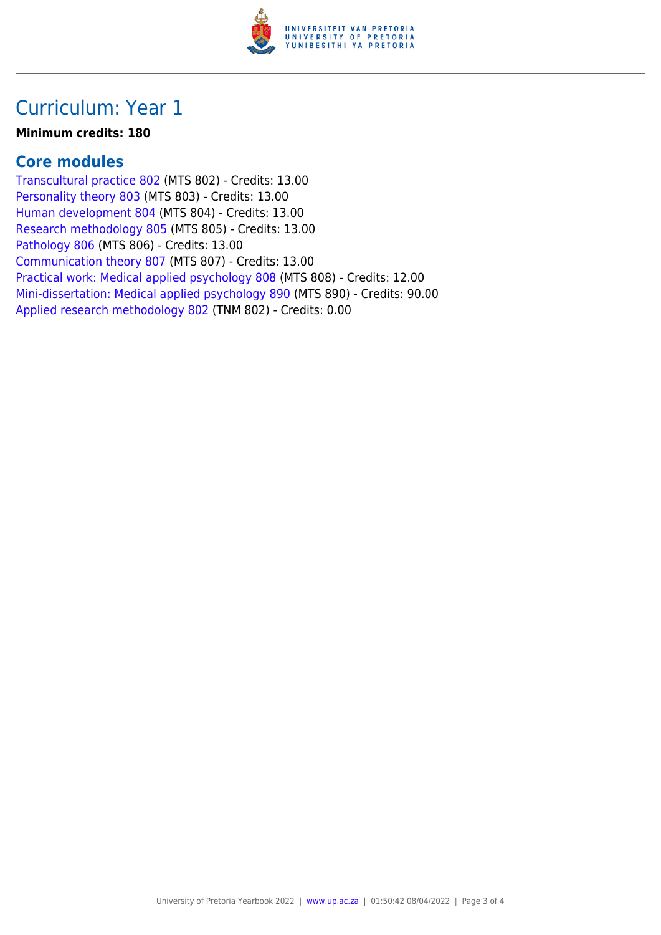

### Curriculum: Year 1

#### **Minimum credits: 180**

### **Core modules**

[Transcultural practice 802](https://www.up.ac.za/yearbooks/2022/modules/view/MTS 802) (MTS 802) - Credits: 13.00 [Personality theory 803](https://www.up.ac.za/yearbooks/2022/modules/view/MTS 803) (MTS 803) - Credits: 13.00 [Human development 804](https://www.up.ac.za/yearbooks/2022/modules/view/MTS 804) (MTS 804) - Credits: 13.00 [Research methodology 805](https://www.up.ac.za/yearbooks/2022/modules/view/MTS 805) (MTS 805) - Credits: 13.00 [Pathology 806](https://www.up.ac.za/yearbooks/2022/modules/view/MTS 806) (MTS 806) - Credits: 13.00 [Communication theory 807](https://www.up.ac.za/yearbooks/2022/modules/view/MTS 807) (MTS 807) - Credits: 13.00 [Practical work: Medical applied psychology 808](https://www.up.ac.za/yearbooks/2022/modules/view/MTS 808) (MTS 808) - Credits: 12.00 [Mini-dissertation: Medical applied psychology 890](https://www.up.ac.za/yearbooks/2022/modules/view/MTS 890) (MTS 890) - Credits: 90.00 [Applied research methodology 802](https://www.up.ac.za/yearbooks/2022/modules/view/TNM 802) (TNM 802) - Credits: 0.00